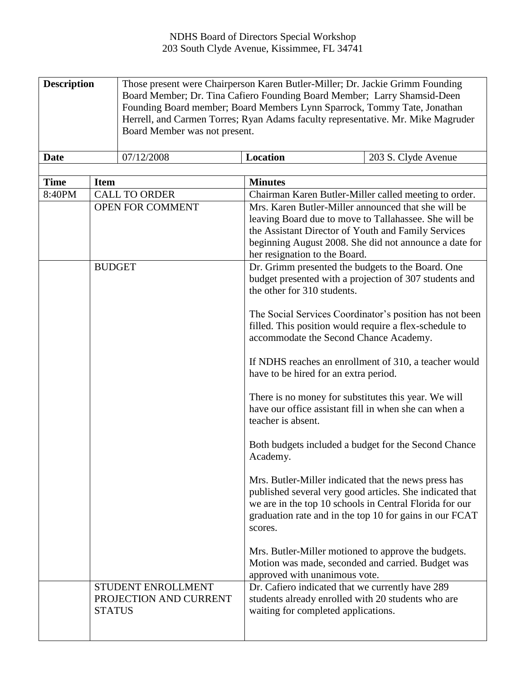| <b>Description</b> | Those present were Chairperson Karen Butler-Miller; Dr. Jackie Grimm Founding<br>Board Member; Dr. Tina Cafiero Founding Board Member; Larry Shamsid-Deen<br>Founding Board member; Board Members Lynn Sparrock, Tommy Tate, Jonathan<br>Herrell, and Carmen Torres; Ryan Adams faculty representative. Mr. Mike Magruder<br>Board Member was not present. |                 |                     |
|--------------------|------------------------------------------------------------------------------------------------------------------------------------------------------------------------------------------------------------------------------------------------------------------------------------------------------------------------------------------------------------|-----------------|---------------------|
| <b>Date</b>        | 07/12/2008                                                                                                                                                                                                                                                                                                                                                 | <b>Location</b> | 203 S. Clyde Avenue |

| <b>Time</b> | <b>Item</b>                                                   | <b>Minutes</b>                                                                                                                                                                                                                                                 |
|-------------|---------------------------------------------------------------|----------------------------------------------------------------------------------------------------------------------------------------------------------------------------------------------------------------------------------------------------------------|
| 8:40PM      | <b>CALL TO ORDER</b>                                          | Chairman Karen Butler-Miller called meeting to order.                                                                                                                                                                                                          |
|             | OPEN FOR COMMENT                                              | Mrs. Karen Butler-Miller announced that she will be<br>leaving Board due to move to Tallahassee. She will be<br>the Assistant Director of Youth and Family Services<br>beginning August 2008. She did not announce a date for<br>her resignation to the Board. |
|             | <b>BUDGET</b>                                                 | Dr. Grimm presented the budgets to the Board. One<br>budget presented with a projection of 307 students and<br>the other for 310 students.                                                                                                                     |
|             |                                                               | The Social Services Coordinator's position has not been<br>filled. This position would require a flex-schedule to<br>accommodate the Second Chance Academy.                                                                                                    |
|             |                                                               | If NDHS reaches an enrollment of 310, a teacher would<br>have to be hired for an extra period.                                                                                                                                                                 |
|             |                                                               | There is no money for substitutes this year. We will<br>have our office assistant fill in when she can when a<br>teacher is absent.                                                                                                                            |
|             |                                                               | Both budgets included a budget for the Second Chance<br>Academy.                                                                                                                                                                                               |
|             |                                                               | Mrs. Butler-Miller indicated that the news press has<br>published several very good articles. She indicated that<br>we are in the top 10 schools in Central Florida for our<br>graduation rate and in the top 10 for gains in our FCAT<br>scores.              |
|             |                                                               | Mrs. Butler-Miller motioned to approve the budgets.<br>Motion was made, seconded and carried. Budget was<br>approved with unanimous vote.                                                                                                                      |
|             | STUDENT ENROLLMENT<br>PROJECTION AND CURRENT<br><b>STATUS</b> | Dr. Cafiero indicated that we currently have 289<br>students already enrolled with 20 students who are<br>waiting for completed applications.                                                                                                                  |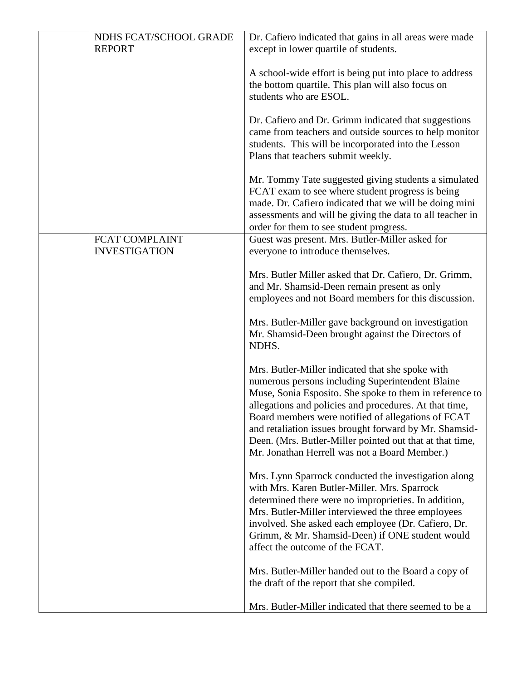| NDHS FCAT/SCHOOL GRADE                        | Dr. Cafiero indicated that gains in all areas were made                                                                                                                                                                                                                                                                                                                                                                                                |
|-----------------------------------------------|--------------------------------------------------------------------------------------------------------------------------------------------------------------------------------------------------------------------------------------------------------------------------------------------------------------------------------------------------------------------------------------------------------------------------------------------------------|
| <b>REPORT</b>                                 | except in lower quartile of students.                                                                                                                                                                                                                                                                                                                                                                                                                  |
|                                               | A school-wide effort is being put into place to address<br>the bottom quartile. This plan will also focus on<br>students who are ESOL.                                                                                                                                                                                                                                                                                                                 |
|                                               | Dr. Cafiero and Dr. Grimm indicated that suggestions<br>came from teachers and outside sources to help monitor<br>students. This will be incorporated into the Lesson<br>Plans that teachers submit weekly.                                                                                                                                                                                                                                            |
|                                               | Mr. Tommy Tate suggested giving students a simulated<br>FCAT exam to see where student progress is being<br>made. Dr. Cafiero indicated that we will be doing mini<br>assessments and will be giving the data to all teacher in<br>order for them to see student progress.                                                                                                                                                                             |
| <b>FCAT COMPLAINT</b><br><b>INVESTIGATION</b> | Guest was present. Mrs. Butler-Miller asked for<br>everyone to introduce themselves.                                                                                                                                                                                                                                                                                                                                                                   |
|                                               | Mrs. Butler Miller asked that Dr. Cafiero, Dr. Grimm,<br>and Mr. Shamsid-Deen remain present as only<br>employees and not Board members for this discussion.<br>Mrs. Butler-Miller gave background on investigation                                                                                                                                                                                                                                    |
|                                               | Mr. Shamsid-Deen brought against the Directors of<br>NDHS.                                                                                                                                                                                                                                                                                                                                                                                             |
|                                               | Mrs. Butler-Miller indicated that she spoke with<br>numerous persons including Superintendent Blaine<br>Muse, Sonia Esposito. She spoke to them in reference to<br>allegations and policies and procedures. At that time,<br>Board members were notified of allegations of FCAT<br>and retaliation issues brought forward by Mr. Shamsid-<br>Deen. (Mrs. Butler-Miller pointed out that at that time,<br>Mr. Jonathan Herrell was not a Board Member.) |
|                                               | Mrs. Lynn Sparrock conducted the investigation along<br>with Mrs. Karen Butler-Miller. Mrs. Sparrock<br>determined there were no improprieties. In addition,<br>Mrs. Butler-Miller interviewed the three employees<br>involved. She asked each employee (Dr. Cafiero, Dr.<br>Grimm, & Mr. Shamsid-Deen) if ONE student would<br>affect the outcome of the FCAT.                                                                                        |
|                                               | Mrs. Butler-Miller handed out to the Board a copy of<br>the draft of the report that she compiled.                                                                                                                                                                                                                                                                                                                                                     |
|                                               | Mrs. Butler-Miller indicated that there seemed to be a                                                                                                                                                                                                                                                                                                                                                                                                 |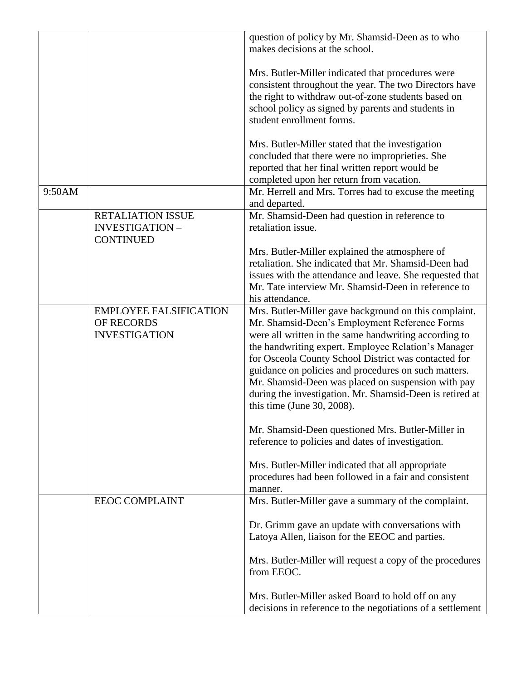|        |                                                                       | question of policy by Mr. Shamsid-Deen as to who<br>makes decisions at the school.                                                                                                                                                                                                                                                                                                                                                                                                     |
|--------|-----------------------------------------------------------------------|----------------------------------------------------------------------------------------------------------------------------------------------------------------------------------------------------------------------------------------------------------------------------------------------------------------------------------------------------------------------------------------------------------------------------------------------------------------------------------------|
|        |                                                                       | Mrs. Butler-Miller indicated that procedures were<br>consistent throughout the year. The two Directors have<br>the right to withdraw out-of-zone students based on<br>school policy as signed by parents and students in<br>student enrollment forms.                                                                                                                                                                                                                                  |
|        |                                                                       | Mrs. Butler-Miller stated that the investigation<br>concluded that there were no improprieties. She<br>reported that her final written report would be<br>completed upon her return from vacation.                                                                                                                                                                                                                                                                                     |
| 9:50AM |                                                                       | Mr. Herrell and Mrs. Torres had to excuse the meeting<br>and departed.                                                                                                                                                                                                                                                                                                                                                                                                                 |
|        | <b>RETALIATION ISSUE</b><br><b>INVESTIGATION-</b><br><b>CONTINUED</b> | Mr. Shamsid-Deen had question in reference to<br>retaliation issue.                                                                                                                                                                                                                                                                                                                                                                                                                    |
|        |                                                                       | Mrs. Butler-Miller explained the atmosphere of<br>retaliation. She indicated that Mr. Shamsid-Deen had<br>issues with the attendance and leave. She requested that<br>Mr. Tate interview Mr. Shamsid-Deen in reference to<br>his attendance.                                                                                                                                                                                                                                           |
|        | <b>EMPLOYEE FALSIFICATION</b><br>OF RECORDS<br><b>INVESTIGATION</b>   | Mrs. Butler-Miller gave background on this complaint.<br>Mr. Shamsid-Deen's Employment Reference Forms<br>were all written in the same handwriting according to<br>the handwriting expert. Employee Relation's Manager<br>for Osceola County School District was contacted for<br>guidance on policies and procedures on such matters.<br>Mr. Shamsid-Deen was placed on suspension with pay<br>during the investigation. Mr. Shamsid-Deen is retired at<br>this time (June 30, 2008). |
|        |                                                                       | Mr. Shamsid-Deen questioned Mrs. Butler-Miller in<br>reference to policies and dates of investigation.                                                                                                                                                                                                                                                                                                                                                                                 |
|        |                                                                       | Mrs. Butler-Miller indicated that all appropriate<br>procedures had been followed in a fair and consistent<br>manner.                                                                                                                                                                                                                                                                                                                                                                  |
|        | <b>EEOC COMPLAINT</b>                                                 | Mrs. Butler-Miller gave a summary of the complaint.<br>Dr. Grimm gave an update with conversations with<br>Latoya Allen, liaison for the EEOC and parties.                                                                                                                                                                                                                                                                                                                             |
|        |                                                                       | Mrs. Butler-Miller will request a copy of the procedures<br>from EEOC.                                                                                                                                                                                                                                                                                                                                                                                                                 |
|        |                                                                       | Mrs. Butler-Miller asked Board to hold off on any<br>decisions in reference to the negotiations of a settlement                                                                                                                                                                                                                                                                                                                                                                        |